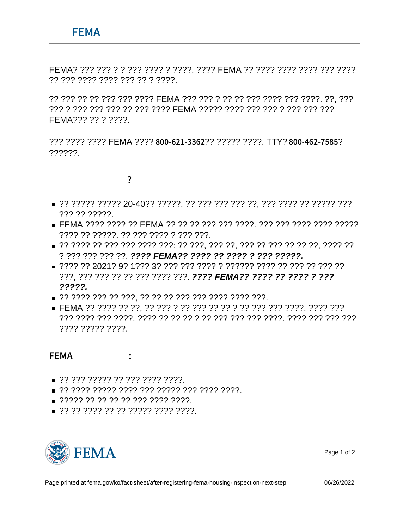$\tilde{B}$ ] ÖÄ FEMA EÜDÝ  $\neg \in \tilde{A}$  $\neg^{2}$ "  $2\ddot{a}$ CL  $2\dot{e}$  $\neg \ddot{A}$ C... $2\dot{E}^2\ddot{a}$ 

FEMA? ??? ??? ? ? ??? ???? ? ????. ???? FEMA ?? ???? ???? ???? ????? ?? ??? ???? ???? ??? ?? ? ????.

?? ??? ?? ?? ??? ??? ???? FEMA ??? ??? ? ?? ??? ??? ???? ??? ???. ??, ??? ??? ? ??? ??? ??? ?? ??? ???? FEMA ????? ???? ??? ??? ??? ??? ??? FFMA??? ?? ? ????

??? ???? ???? FEMA ???? 8 0 0 - 6 2 1 ? 3 3?6 2? ????. TTY? 8 0 0 - 4 6 2?- 7 5 8 5 ??????

## 

- ??? ?? ?????
- ???? ?? ?????. ?? ??? ???? ? ??? ???.
- ? ??? ??? ??? ??. ???? FEMA?? ???? ?? ???? ? ??? ????? .
- ???. ??? ??? ?? ?? ??? ???? ???. ???? FEMA?? ???? ?? ???? ? ???  $2222$
- $\blacksquare$  ????? ??? ?? ???, ?? ?? ??? ??? ???? ???? ????.
- 7777 77777 7777

## FEMA ¬€À¬- Çt ÕXÉÀÅJ<sup>2</sup>" ÅÅ»4 :

- $\Box$ ?? ??? ????? ?? ??? ???? ????.
- 
- $\Box$  ????? ?? ?? ?? ?? ??? ???? ????.
- $\Box$ ?? ?? ???? ?? ?? ????? ???? ????.



Page 1 of 2